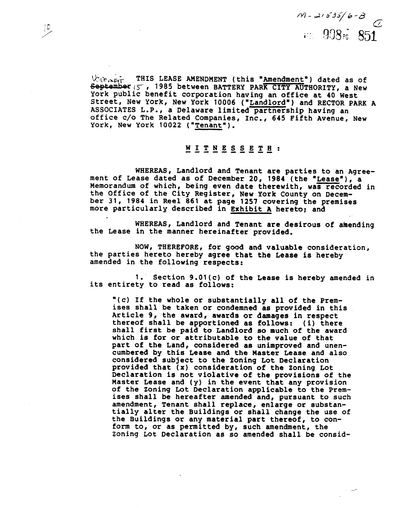$1$ / $-21535/6 - 8$ **i-r** 933~; 851

THIS LEASE AMENDMENT (this "Amendment") dated as of  $\&$  is near **September (5', 1985 between BATTERY PARK CITY AUTHORITY, a New** York public benefit corporation having an office at 40 West Street, New York, New York 10006 ("Landlord") and RECTOR PARK A ASSOCIATES L.P., a Delaware limited partnership having an office c/o The Related Companies, Inc., 645 Fifth Avenue, New York, New York 10022 ("Tenant").

# WITNESSETA: **-----I----**

WHEREAS, Landlord and Tenant are parties to an Agree-<br>ment of Lease dated as of December 20, 1984 (the "Lease"), a Difice c/o The Related Companies, Inc., 645 Fifth Avenue, New<br>
York, New York 10022 ("<u>Tenant</u>").<br>
W I <u>T N E S S E T H</u> :<br>
WHEREAS, Landlord and Tenant are parties to an Agree<br>
Nemorandum of which, being even date therewi Memorandum of which, being even date therewith, was recorded in ber 31, 1984 in Reel 861 at page 1257 covering the premises more particularly described in Exhibit **A** hereto; and

WHEREAS, Landlord and Tenant are desirous of amending the Lease in the manner hereinafter provided.

NOW, THEREFORE, for good and valuable consideration, the parties hereto hereby agree that the Lease is hereby amended in the following respects:

1. Section 9.01(c) of the Lease is hereby amended in its entirety to read as follows:

"(c) If the whole or substantially all of the Premises shall be taken or condemned as provided in this Article 9, the award, awards or damages in respect<br>thereof shall be apportioned as follows: (i) there shall first be paid to Landlord so much of the award which is for or attributable to the value of that part of the Land, considered as unimproved and unencumbered by this Lease and the Master Lease and also considered subject to the Zoning Lot Declaration provided that **(x)** consideration of the Zoning Lot Declaration is not violative of the provisions of the<br>Master Lease and (y) in the event that any provision of the Zoning Lot Declaration applicable to the Premises shall be hereafter amended and, pursuant to such amendment, Tenant shall replace, enlarge or substantially alter the Buildings or shall change the use of the Buildings or any material part thereof, to conform to, or as permitted by, such amendment, the Zoning Lot Declaration as so amended shall be consid-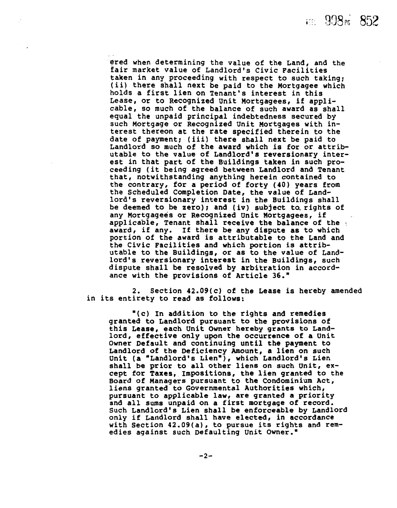EE 998<sub>pc</sub> 852

ered when determining the value of the Land, and the fair market value of Landlord's Civic Facilities taken in any proceeding with respect to such taking; (ii) there shall next be paid to the Mortgagee which holds a first lien on Tenant's interest in this Lease, or to Recognized Unit Mortgagees, if appli- cable, so much of the balance of such award as shall equal the unpaid principal indebtedness secured by such Mortgage or Recognized Unit Mortgages with interest thereon at the rate specified therein to the date of payment; (iii) there shall next be paid to Landlord so much of the award which is for or attributable to the value of Landlord's reversionary interest in that part of the Buildings taken in such proceeding (it being agreed between Landlord and Tenant that, notwithstanding anything herein contained to the contrary, for a period of forty (40) years from the Scheduled Completion Date, the value of Landlord's reversionary interest in the Buildings shall be deemed to be zero); and (iv) subject to, rights of any Mortgagees or Recognized Unit Mortgagees, if applicable, Tenant shall receive the balance of the award, if any. If there be any dispute as to which portion of the award is attributable to the Land and the Civic Facilities and which portion is attributable to the Buildings, or as to the value of Landlord's reversionary interest in the Buildings, such dispute shall be resolved by arbitration in accordance with the provisions of Article 36."

2. Section 42.09(c) of the Lease is hereby amended in its entirety to read as follows:

"(c) In addition to the rights and remedies granted to Landlord pursuant to the provisions of this Lease, each Unit Owner hereby grants **to** Landlord, effective only upon the occurrence of a Unit Owner Default and continuing until the payment to Landlord of the Deficiency Amount, a lien on such Unit (a "Landlord's Lien"), which Landlord's Lien shall be prior to all other liens on such Unit, except for Taxes, Impositions, the lien granted to the Board of Managers pursuant to the Condominium Act, liens granted to Governmental Authorities which, pursuant to applicable law, are granted a priority and all sums unpaid on a first mortgage of record. Such Landlord's Lien shall be enforceable by Landlord only if Landlord shall have elected, in accordance with Section 42.09(a), to pursue its rights and remedies against such Defaulting Unit Owner."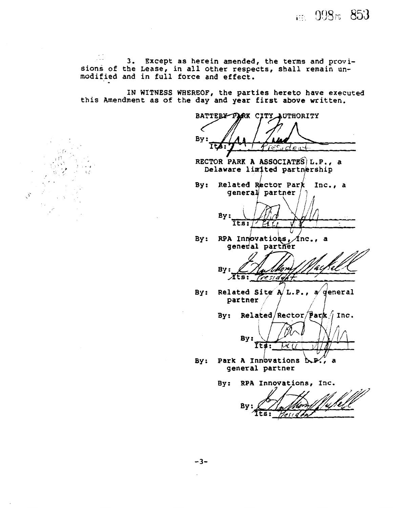im 998m 853

3. Except as herein amended, the terms and provisions of the Lease, in all other respects, shall remain un-modified and in full force and effect.

 $\mathcal{S}$ 

IN WITNESS WHEREOF, the parties hereto have executed IN WITNESS WHEREOF, the parties hereto have execut

BATTERY PARK CITY AUTHORITY By:

RECTOR PARK A ASSOCIATES L.P., a Delaware limited partnership

 $By:$ Related Rector Park Inc., a general partner



 $Innovations,  $f_{\text{no}}$$ 

**P7** -  $B_1$  ,  $B_2$ ,  $B_3$ ,  $B_4$ ,  $B_5$ ,  $B_6$ ,  $B_7$ ,  $B_7$ ,  $B_8$ 

- ted Site  $\ell$ 
	- Related/Rector/Park  $\int$  Inc.  $By:$



A Innovations I

By: RPA Innovations, Inc.

Bv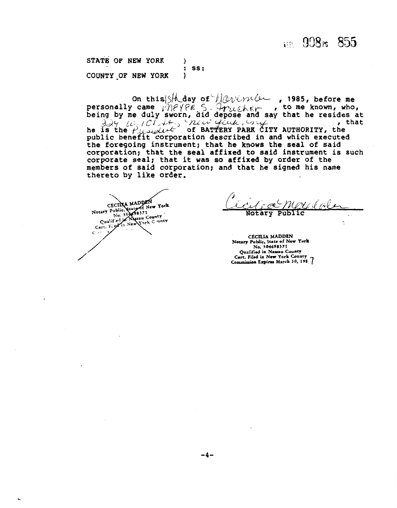### 122 998m 855

**STATE OF NEW YORK 1** : ss: **COUNTY \_OF NEW YORK** )

on this state of navinia , 1985, before me on this state of  $\mathcal{W}_{\text{triangle}}$ , 1985, before me<br>bersonally came  $\mathcal{W}_{\text{triangle}}$  5.  $\mathcal{W}_{\text{triangle}}$ , to me known, who,<br>being by me duly sworn, did depose and say that he resides at<br> $\mathcal{W}_{\text{triangle}}$  ( $\mathcal{W}_{\text{triangle}}$  ,  $\mathcal{W}_{\text{triangle}}$  he is the  $\rho_{\text{model}}$  of BATTERY PARK CITY AUTHORITY, the public benefit corporation described in and which executed the foregoing instrument; that he knows the seal of said corporation; that the seal affixed to said instrument is such corporate seal; that it was so affixed by order of the members of said corporation; and that he signed his name thereto by like order.

CECILLA MADDEN<br>Notary Public, State of New York<br>Notary Public, State of New York<br>Cualified in New York Cunty<br>Cert. Fight in New York Cunty  $C \cdot C$ 

æ More Notary Public  $\ddot{\phantom{a}}$ 

-

**CECXLIA MADDEN Notary Public. State of New York No. 304698371**  Qualified **in Nawou Couaq Ccrt. Filed in New York County**  Commission Expires March 30, 198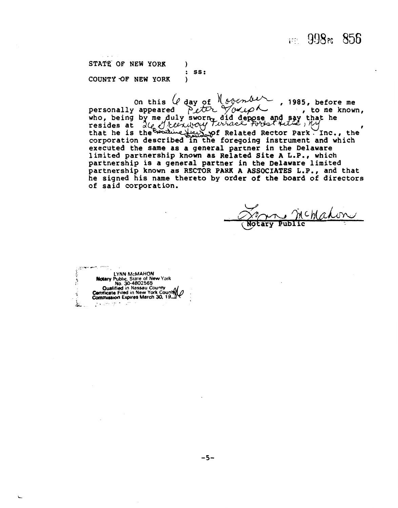### $\approx$  998 $\approx$  856

**STATE OF NEW YORK** ) : ss:<br>) COUNTY **-OF** NEW YORK )

On this  $\theta$  day of  $M$  oven  $\theta$ . 1985, before me state of NEW YORK : ss:<br>
county of NEW YORK )<br>
on this ( $\ell$  day of  $\ell$  of *Endy*, 1985, before me<br>
personally appeared *Peter Youeph*, to me known,<br>
who, being by me duly sworn, did depose and say that he<br>
resides at  $\lambda$ tesides at  $\alpha \mathcal{C}_e$ <br>that he is the corporation described in the foregoing instrument and which executed the same as a general partner in the Delaware limited partnership known **as** Related Site **A** L.P., which partnership is a general partner in the Delaware limited partnership known as RECTOR PARK A ASSOCIATES L.P., and that he signed his name thereto by order of the board of directors of said corporation.

 $\lambda$ chahon **Notary Public** 

. **1-c-**  <sup>&</sup>gt;**LYNN McMAHON**  ? **Notary Publc, State of New Yark NO. 30-4802565 Qualified in Nassau County<br>Certificate Filed in New York County**  $\frac{1}{2}$ **Commission Expires March 30, 19. 5.3,**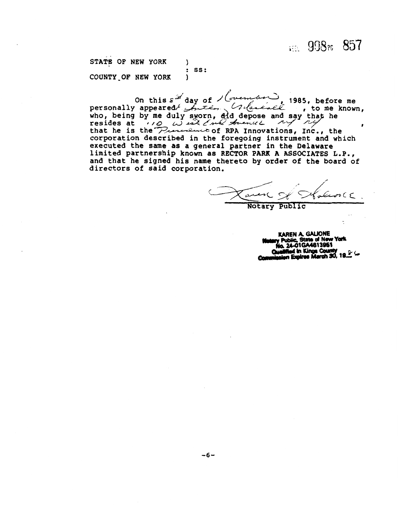in 998rc 857

STATE OF NEW YORK  $\lambda$  $:$  SS: COUNTY OF NEW YORK  $\lambda$ 

On this s<sup>of</sup> day of lovem  $\frac{1}{2}$ , 1985, before me Critane  $e\overline{e}$  , to me known. who, being by me duly sworn, ald depose and say that he<br>resides at  $(10, 12)$  and *the strength my ny* that he is the *Presence* of RPA Innovations, Inc., the corporation described in the foregoing instrument and which<br>executed the same as a general partner in the Delaware limited partnership known as RECTOR PARK A ASSOCIATES L.P., and that he signed his name thereto by order of the board of directors of said corporation.

 $2C<sub>C</sub>$ 

Notary Public

KAREN A. GALIONE<br>Public, State of New York h 24-01GA4813951 id in Kings Cour n Expires March 30. 19.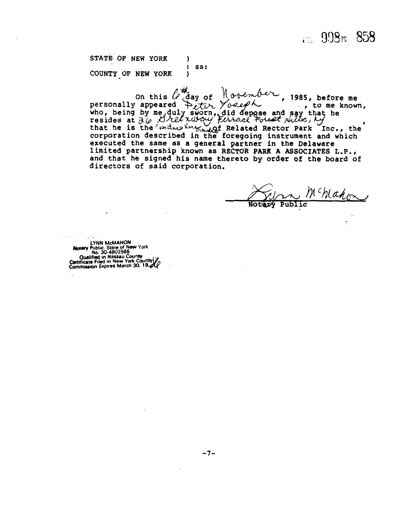115. 998rs 858

STATE OF NEW YORK 1 : ss: COUNTY OF NEW YORK )

on this  $\mathcal{L}$  day of  $\mathcal{N}$  or  $\mathcal{L}$ , 1985, before me<br>personally appeared  $\mathcal{L}$ ,  $\mathcal{L}$ ,  $\mathcal{L}$ ,  $\mathcal{L}$ , to me known,<br>who, being by me, duly sworn, did depose and say that he inc) being by me, and it, and deplace and say that he<br>resides at  $\partial \varphi$  *Dree redroit forced folest julis, by*<br>that he is the *tandus here*, inf Related Rector Park Inc.. the nat he is the executed the same as a general partner in the Delaware<br>executed the same as a general partner in the Delaware limited partnership known as RECTOR **PARK A** ASSOCIATES **L.P.,**  and that he signed his name thereto by **order** of the board of directors of said corporation.

Mchlahon

LYNN McMAHON<br>Notary Public, State of New York<br>No. 30-4802565<br>Cualified in Nassau County<br>Sertificate Filed in New York County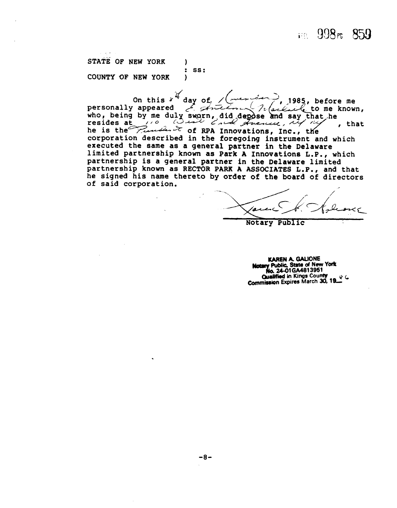#### 111 998r 859

STATE OF NEW YORK 1 SS:  $\ddot{\cdot}$ COUNTY OF NEW YORK )

 $\mathcal{U}$  day of On this 1985, before me E. Artim personally appeared nachiele to me known, who, being by me duly sworn, did depose and say that he<br>resides at 10 and could stream that he , that he is the Punch & of RPA Innovations, Inc., the corporation described in the foregoing instrument and which executed the same as a general partner in the Delaware limited partnership known as Park A Innovations L.P., which partnership is a general partner in the Delaware limited partnership known as RECTOR PARK A ASSOCIATES L.P., and that he signed his name thereto by order of the board of directors of said corporation.

Notary Public

KAREN A. GALIONE<br>Notary Public, State of New York<br>No. 24-01GA4813951 **Qualified in Kings County** & 6 Commission Expires March 30, 19